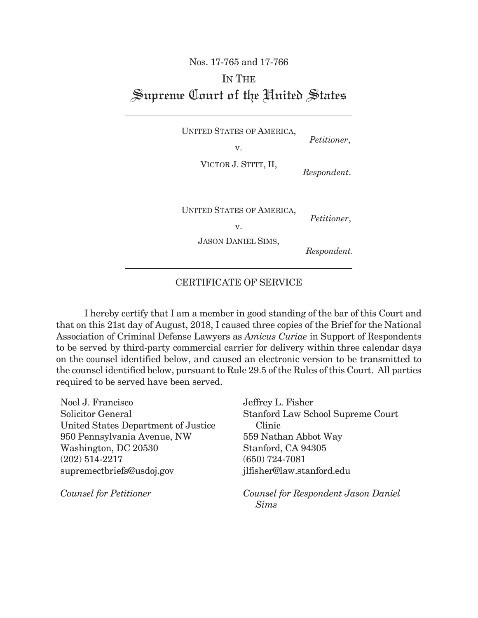## Nos. 17-765 and 17-766 IN THE Supreme Court of the United States

UNITED STATES OF AMERICA, *Petitioner*, v.

VICTOR J. STITT, II, *Respondent*.

UNITED STATES OF AMERICA, *Petitioner*, v.

JASON DANIEL SIMS,

 *Respondent.*

CERTIFICATE OF SERVICE

I hereby certify that I am a member in good standing of the bar of this Court and that on this 21st day of August, 2018, I caused three copies of the Brief for the National Association of Criminal Defense Lawyers as *Amicus Curiae* in Support of Respondents to be served by third-party commercial carrier for delivery within three calendar days on the counsel identified below, and caused an electronic version to be transmitted to the counsel identified below, pursuant to Rule 29.5 of the Rules of this Court. All parties required to be served have been served.

| Noel J. Francisco                   | Jeffrey L. Fisher                   |
|-------------------------------------|-------------------------------------|
| Solicitor General                   | Stanford Law School Supreme Court   |
| United States Department of Justice | Clinic                              |
| 950 Pennsylvania Avenue, NW         | 559 Nathan Abbot Way                |
| Washington, DC 20530                | Stanford, CA 94305                  |
| $(202)$ 514-2217                    | $(650)$ 724-7081                    |
| supremectbriefs@usdoj.gov           | jlfisher@law.stanford.edu           |
| <b>Counsel for Petitioner</b>       | Counsel for Respondent Jason Daniel |

 *Sims*